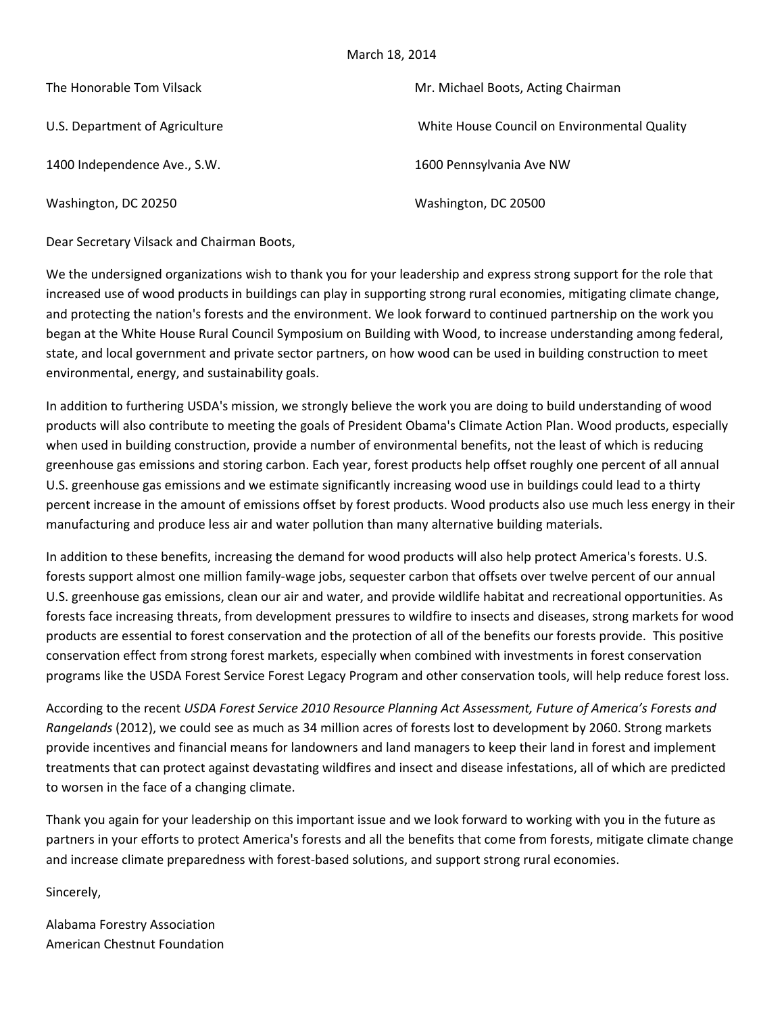## March 18, 2014

| The Honorable Tom Vilsack      | Mr. Michael Boots, Acting Chairman           |
|--------------------------------|----------------------------------------------|
| U.S. Department of Agriculture | White House Council on Environmental Quality |
| 1400 Independence Ave., S.W.   | 1600 Pennsylvania Ave NW                     |
| Washington, DC 20250           | Washington, DC 20500                         |

Dear Secretary Vilsack and Chairman Boots,

We the undersigned organizations wish to thank you for your leadership and express strong support for the role that increased use of wood products in buildings can play in supporting strong rural economies, mitigating climate change, and protecting the nation's forests and the environment. We look forward to continued partnership on the work you began at the White House Rural Council Symposium on Building with Wood, to increase understanding among federal, state, and local government and private sector partners, on how wood can be used in building construction to meet environmental, energy, and sustainability goals.

In addition to furthering USDA's mission, we strongly believe the work you are doing to build understanding of wood products will also contribute to meeting the goals of President Obama's Climate Action Plan. Wood products, especially when used in building construction, provide a number of environmental benefits, not the least of which is reducing greenhouse gas emissions and storing carbon. Each year, forest products help offset roughly one percent of all annual U.S. greenhouse gas emissions and we estimate significantly increasing wood use in buildings could lead to a thirty percent increase in the amount of emissions offset by forest products. Wood products also use much less energy in their manufacturing and produce less air and water pollution than many alternative building materials.

In addition to these benefits, increasing the demand for wood products will also help protect America's forests. U.S. forests support almost one million family-wage jobs, sequester carbon that offsets over twelve percent of our annual U.S. greenhouse gas emissions, clean our air and water, and provide wildlife habitat and recreational opportunities. As forests face increasing threats, from development pressures to wildfire to insects and diseases, strong markets for wood products are essential to forest conservation and the protection of all of the benefits our forests provide. This positive conservation effect from strong forest markets, especially when combined with investments in forest conservation programs like the USDA Forest Service Forest Legacy Program and other conservation tools, will help reduce forest loss.

According to the recent *USDA Forest Service 2010 Resource Planning Act Assessment, Future of America's Forests and Rangelands* (2012), we could see as much as 34 million acres of forests lost to development by 2060. Strong markets provide incentives and financial means for landowners and land managers to keep their land in forest and implement treatments that can protect against devastating wildfires and insect and disease infestations, all of which are predicted to worsen in the face of a changing climate.

Thank you again for your leadership on this important issue and we look forward to working with you in the future as partners in your efforts to protect America's forests and all the benefits that come from forests, mitigate climate change and increase climate preparedness with forest-based solutions, and support strong rural economies.

Sincerely,

Alabama Forestry Association American Chestnut Foundation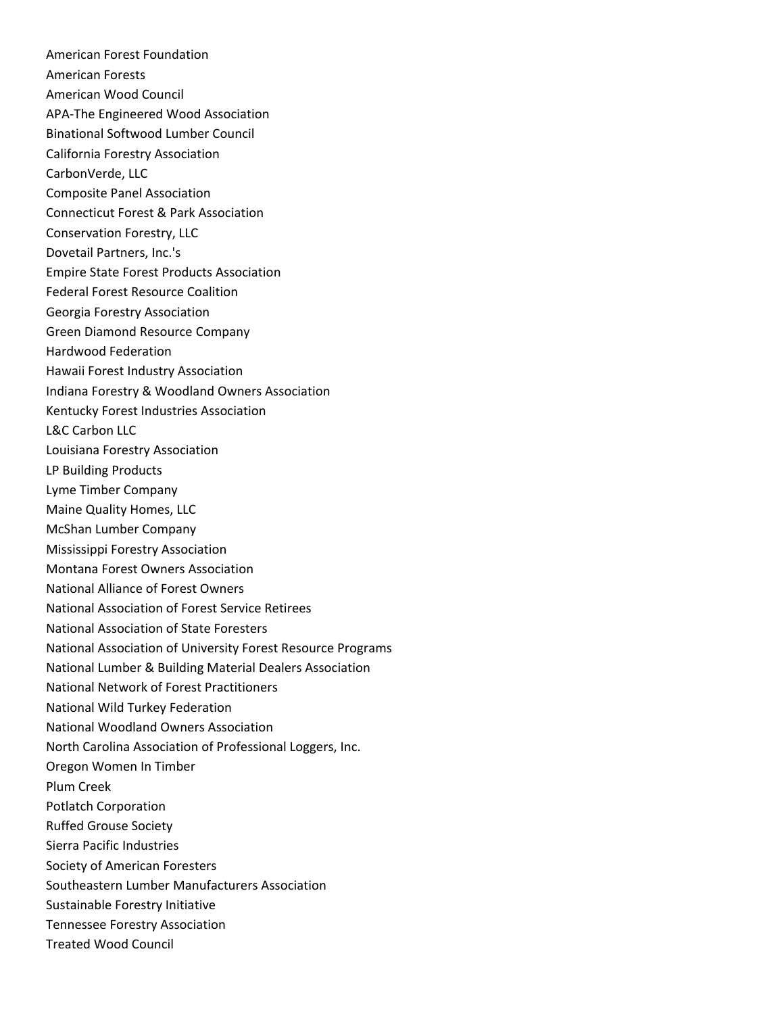American Forest Foundation American Forests American Wood Council APA‐The Engineered Wood Association Binational Softwood Lumber Council California Forestry Association CarbonVerde, LLC Composite Panel Association Connecticut Forest & Park Association Conservation Forestry, LLC Dovetail Partners, Inc.'s Empire State Forest Products Association Federal Forest Resource Coalition Georgia Forestry Association Green Diamond Resource Company Hardwood Federation Hawaii Forest Industry Association Indiana Forestry & Woodland Owners Association Kentucky Forest Industries Association L&C Carbon LLC Louisiana Forestry Association LP Building Products Lyme Timber Company Maine Quality Homes, LLC McShan Lumber Company Mississippi Forestry Association Montana Forest Owners Association National Alliance of Forest Owners National Association of Forest Service Retirees National Association of State Foresters National Association of University Forest Resource Programs National Lumber & Building Material Dealers Association National Network of Forest Practitioners National Wild Turkey Federation National Woodland Owners Association North Carolina Association of Professional Loggers, Inc. Oregon Women In Timber Plum Creek Potlatch Corporation Ruffed Grouse Society Sierra Pacific Industries Society of American Foresters Southeastern Lumber Manufacturers Association Sustainable Forestry Initiative Tennessee Forestry Association Treated Wood Council